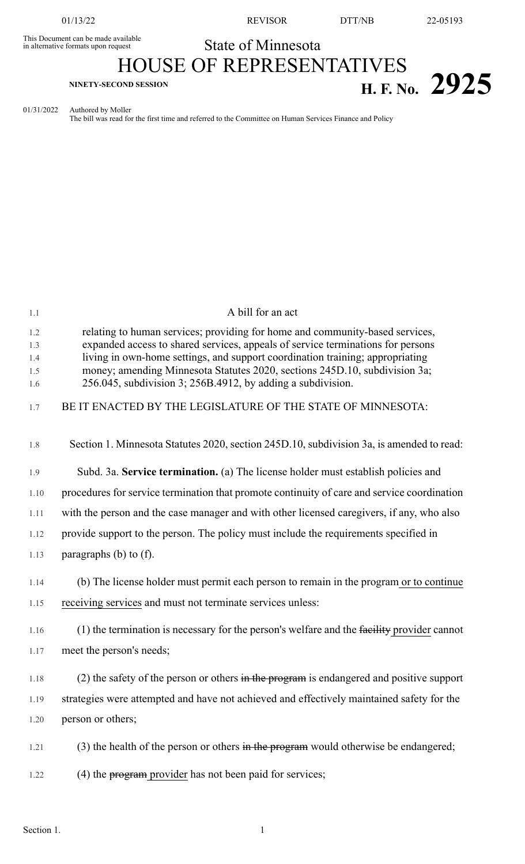This Document can be made available<br>in alternative formats upon request

01/13/22 **REVISOR** DTT/NB 22-05193

## State of Minnesota

## HOUSE OF REPRESENTATIVES **H. F. NO. 2925**

01/31/2022 Authored by Moller

The bill was read for the first time and referred to the Committee on Human Services Finance and Policy

| 1.1               | A bill for an act                                                                                                                                                                                                          |
|-------------------|----------------------------------------------------------------------------------------------------------------------------------------------------------------------------------------------------------------------------|
| 1.2<br>1.3        | relating to human services; providing for home and community-based services,<br>expanded access to shared services, appeals of service terminations for persons                                                            |
| 1.4<br>1.5<br>1.6 | living in own-home settings, and support coordination training; appropriating<br>money; amending Minnesota Statutes 2020, sections 245D.10, subdivision 3a;<br>256.045, subdivision 3; 256B.4912, by adding a subdivision. |
| 1.7               | BE IT ENACTED BY THE LEGISLATURE OF THE STATE OF MINNESOTA:                                                                                                                                                                |
| 1.8               | Section 1. Minnesota Statutes 2020, section 245D.10, subdivision 3a, is amended to read:                                                                                                                                   |
| 1.9               | Subd. 3a. Service termination. (a) The license holder must establish policies and                                                                                                                                          |
| 1.10              | procedures for service termination that promote continuity of care and service coordination                                                                                                                                |
| 1.11              | with the person and the case manager and with other licensed caregivers, if any, who also                                                                                                                                  |
| 1.12              | provide support to the person. The policy must include the requirements specified in                                                                                                                                       |
| 1.13              | paragraphs $(b)$ to $(f)$ .                                                                                                                                                                                                |
| 1.14              | (b) The license holder must permit each person to remain in the program or to continue                                                                                                                                     |
| 1.15              | receiving services and must not terminate services unless:                                                                                                                                                                 |
| 1.16              | $(1)$ the termination is necessary for the person's welfare and the facility provider cannot                                                                                                                               |
| 1.17              | meet the person's needs;                                                                                                                                                                                                   |
| 1.18              | (2) the safety of the person or others in the program is endangered and positive support                                                                                                                                   |
| 1.19              | strategies were attempted and have not achieved and effectively maintained safety for the                                                                                                                                  |
| 1.20              | person or others;                                                                                                                                                                                                          |
| 1.21              | (3) the health of the person or others in the program would otherwise be endangered;                                                                                                                                       |
| 1.22              | $(4)$ the $program$ provider has not been paid for services;                                                                                                                                                               |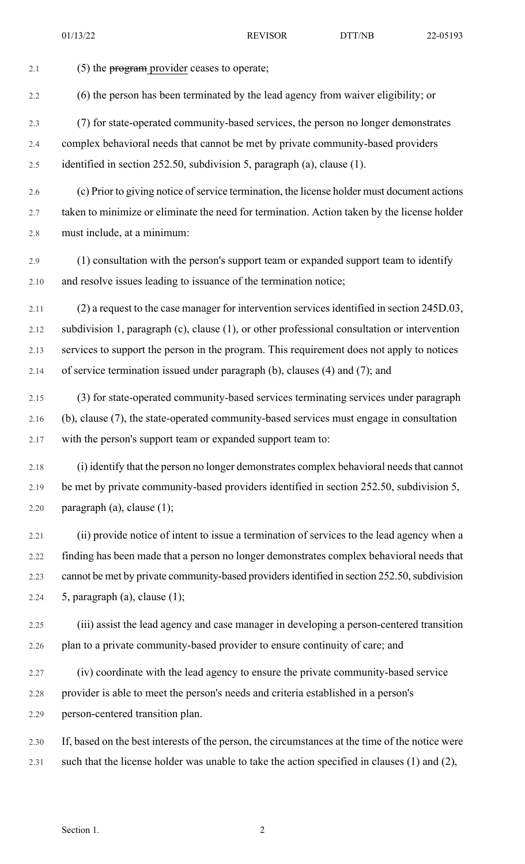| 2.1     | (5) the program provider ceases to operate;                                                     |
|---------|-------------------------------------------------------------------------------------------------|
| 2.2     | (6) the person has been terminated by the lead agency from waiver eligibility; or               |
| 2.3     | (7) for state-operated community-based services, the person no longer demonstrates              |
| 2.4     | complex behavioral needs that cannot be met by private community-based providers                |
| 2.5     | identified in section 252.50, subdivision 5, paragraph (a), clause (1).                         |
| 2.6     | (c) Prior to giving notice of service termination, the license holder must document actions     |
| 2.7     | taken to minimize or eliminate the need for termination. Action taken by the license holder     |
| $2.8\,$ | must include, at a minimum:                                                                     |
| 2.9     | (1) consultation with the person's support team or expanded support team to identify            |
| 2.10    | and resolve issues leading to issuance of the termination notice;                               |
| 2.11    | (2) a request to the case manager for intervention services identified in section 245D.03,      |
| 2.12    | subdivision 1, paragraph (c), clause (1), or other professional consultation or intervention    |
| 2.13    | services to support the person in the program. This requirement does not apply to notices       |
| 2.14    | of service termination issued under paragraph (b), clauses (4) and (7); and                     |
| 2.15    | (3) for state-operated community-based services terminating services under paragraph            |
| 2.16    | (b), clause (7), the state-operated community-based services must engage in consultation        |
| 2.17    | with the person's support team or expanded support team to:                                     |
| 2.18    | (i) identify that the person no longer demonstrates complex behavioral needs that cannot        |
| 2.19    | be met by private community-based providers identified in section 252.50, subdivision 5,        |
| 2.20    | paragraph $(a)$ , clause $(1)$ ;                                                                |
| 2.21    | (ii) provide notice of intent to issue a termination of services to the lead agency when a      |
| 2.22    | finding has been made that a person no longer demonstrates complex behavioral needs that        |
| 2.23    | cannot be met by private community-based providers identified in section 252.50, subdivision    |
| 2.24    | 5, paragraph $(a)$ , clause $(1)$ ;                                                             |
| 2.25    | (iii) assist the lead agency and case manager in developing a person-centered transition        |
| 2.26    | plan to a private community-based provider to ensure continuity of care; and                    |
| 2.27    | (iv) coordinate with the lead agency to ensure the private community-based service              |
| 2.28    | provider is able to meet the person's needs and criteria established in a person's              |
| 2.29    | person-centered transition plan.                                                                |
| 2.30    | If, based on the best interests of the person, the circumstances at the time of the notice were |
| 2.31    | such that the license holder was unable to take the action specified in clauses (1) and (2),    |
|         |                                                                                                 |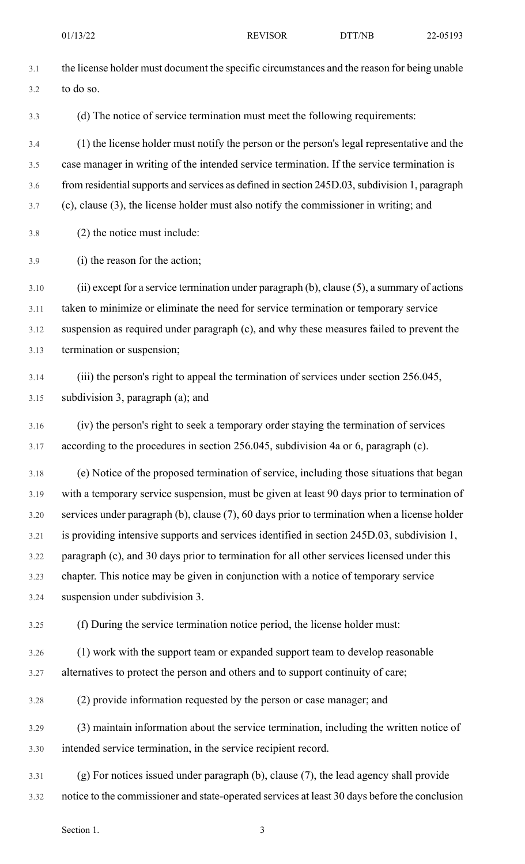| 3.1  | the license holder must document the specific circumstances and the reason for being unable       |
|------|---------------------------------------------------------------------------------------------------|
| 3.2  | to do so.                                                                                         |
| 3.3  | (d) The notice of service termination must meet the following requirements:                       |
| 3.4  | (1) the license holder must notify the person or the person's legal representative and the        |
| 3.5  | case manager in writing of the intended service termination. If the service termination is        |
| 3.6  | from residential supports and services as defined in section 245D.03, subdivision 1, paragraph    |
| 3.7  | (c), clause (3), the license holder must also notify the commissioner in writing; and             |
| 3.8  | (2) the notice must include:                                                                      |
| 3.9  | (i) the reason for the action;                                                                    |
| 3.10 | (ii) except for a service termination under paragraph $(b)$ , clause $(5)$ , a summary of actions |
| 3.11 | taken to minimize or eliminate the need for service termination or temporary service              |
| 3.12 | suspension as required under paragraph (c), and why these measures failed to prevent the          |
| 3.13 | termination or suspension;                                                                        |
| 3.14 | (iii) the person's right to appeal the termination of services under section 256.045,             |
| 3.15 | subdivision 3, paragraph (a); and                                                                 |
| 3.16 | (iv) the person's right to seek a temporary order staying the termination of services             |
| 3.17 | according to the procedures in section 256.045, subdivision 4a or 6, paragraph (c).               |
| 3.18 | (e) Notice of the proposed termination of service, including those situations that began          |
| 3.19 | with a temporary service suspension, must be given at least 90 days prior to termination of       |
| 3.20 | services under paragraph (b), clause (7), 60 days prior to termination when a license holder      |
| 3.21 | is providing intensive supports and services identified in section 245D.03, subdivision 1,        |
| 3.22 | paragraph (c), and 30 days prior to termination for all other services licensed under this        |
| 3.23 | chapter. This notice may be given in conjunction with a notice of temporary service               |
| 3.24 | suspension under subdivision 3.                                                                   |
| 3.25 | (f) During the service termination notice period, the license holder must:                        |
| 3.26 | (1) work with the support team or expanded support team to develop reasonable                     |
| 3.27 | alternatives to protect the person and others and to support continuity of care;                  |
| 3.28 | (2) provide information requested by the person or case manager; and                              |
| 3.29 | (3) maintain information about the service termination, including the written notice of           |
| 3.30 | intended service termination, in the service recipient record.                                    |
| 3.31 | (g) For notices issued under paragraph (b), clause (7), the lead agency shall provide             |
| 3.32 | notice to the commissioner and state-operated services at least 30 days before the conclusion     |

Section 1. 3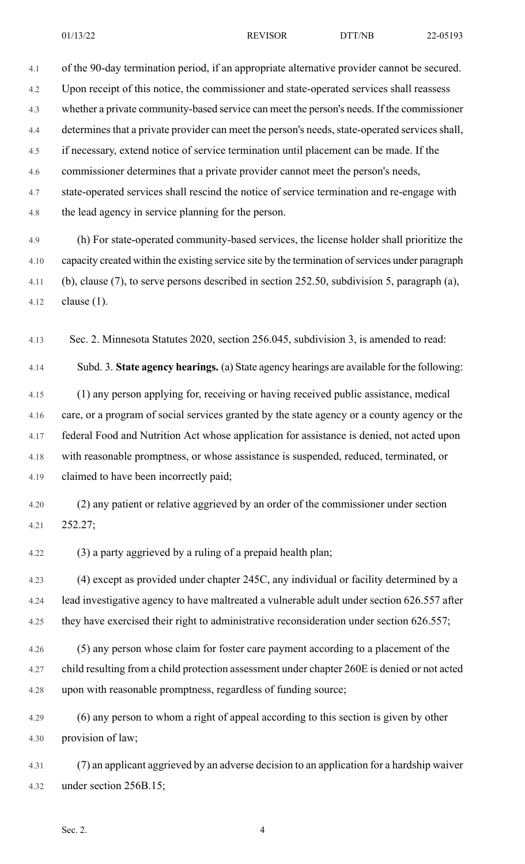01/13/22 REVISOR DTT/NB 22-05193

4.1 of the 90-day termination period, if an appropriate alternative provider cannot be secured. 4.2 Upon receipt of this notice, the commissioner and state-operated services shall reassess 4.3 whether a private community-based service can meet the person's needs. If the commissioner 4.4 determines that a private provider can meet the person's needs, state-operated services shall, 4.5 if necessary, extend notice of service termination until placement can be made. If the 4.6 commissioner determines that a private provider cannot meet the person's needs, 4.7 state-operated services shall rescind the notice of service termination and re-engage with 4.8 the lead agency in service planning for the person.

4.9 (h) For state-operated community-based services, the license holder shall prioritize the 4.10 capacity created within the existing service site by the termination of services under paragraph 4.11 (b), clause (7), to serve persons described in section 252.50, subdivision 5, paragraph (a), 4.12 clause (1).

4.13 Sec. 2. Minnesota Statutes 2020, section 256.045, subdivision 3, is amended to read:

4.14 Subd. 3. **State agency hearings.** (a) State agency hearings are available for the following: 4.15 (1) any person applying for, receiving or having received public assistance, medical 4.16 care, or a program of social services granted by the state agency or a county agency or the 4.17 federal Food and Nutrition Act whose application for assistance is denied, not acted upon 4.18 with reasonable promptness, or whose assistance is suspended, reduced, terminated, or 4.19 claimed to have been incorrectly paid;

4.20 (2) any patient or relative aggrieved by an order of the commissioner under section 4.21 252.27;

4.22 (3) a party aggrieved by a ruling of a prepaid health plan;

4.23 (4) except as provided under chapter 245C, any individual or facility determined by a 4.24 lead investigative agency to have maltreated a vulnerable adult under section 626.557 after 4.25 they have exercised their right to administrative reconsideration under section 626.557;

4.26 (5) any person whose claim for foster care payment according to a placement of the 4.27 child resulting from a child protection assessment under chapter 260E is denied or not acted 4.28 upon with reasonable promptness, regardless of funding source;

4.29 (6) any person to whom a right of appeal according to this section is given by other 4.30 provision of law;

4.31 (7) an applicant aggrieved by an adverse decision to an application for a hardship waiver 4.32 under section 256B.15;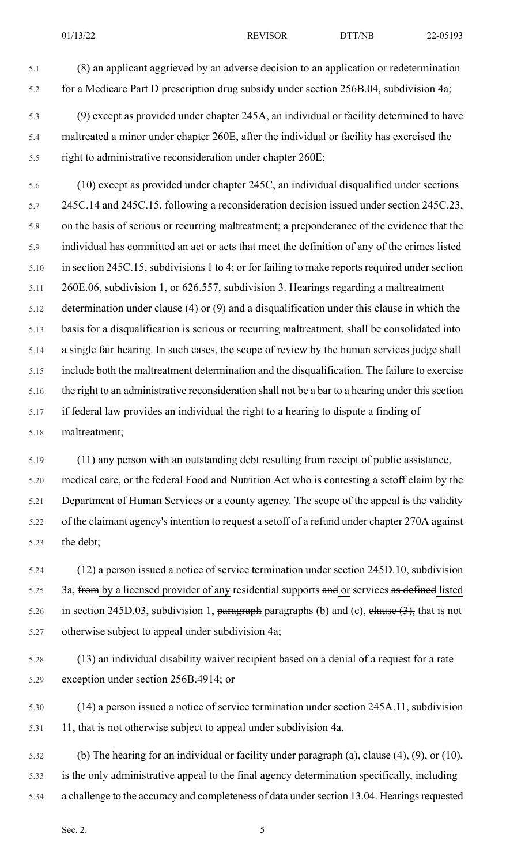- 
- 5.1 (8) an applicant aggrieved by an adverse decision to an application or redetermination 5.2 for a Medicare Part D prescription drug subsidy under section 256B.04, subdivision 4a;
- 5.3 (9) except as provided under chapter 245A, an individual or facility determined to have 5.4 maltreated a minor under chapter 260E, after the individual or facility has exercised the 5.5 right to administrative reconsideration under chapter 260E;

5.6 (10) except as provided under chapter 245C, an individual disqualified under sections 5.7 245C.14 and 245C.15, following a reconsideration decision issued under section 245C.23, 5.8 on the basis of serious or recurring maltreatment; a preponderance of the evidence that the 5.9 individual has committed an act or acts that meet the definition of any of the crimes listed 5.10 in section 245C.15, subdivisions 1 to 4; or for failing to make reports required under section 5.11 260E.06, subdivision 1, or 626.557, subdivision 3. Hearings regarding a maltreatment 5.12 determination under clause (4) or (9) and a disqualification under this clause in which the 5.13 basis for a disqualification is serious or recurring maltreatment, shall be consolidated into 5.14 a single fair hearing. In such cases, the scope of review by the human services judge shall 5.15 include both the maltreatment determination and the disqualification. The failure to exercise 5.16 the right to an administrative reconsideration shall not be a bar to a hearing under this section 5.17 if federal law provides an individual the right to a hearing to dispute a finding of 5.18 maltreatment;

5.19 (11) any person with an outstanding debt resulting from receipt of public assistance, 5.20 medical care, or the federal Food and Nutrition Act who is contesting a setoff claim by the 5.21 Department of Human Services or a county agency. The scope of the appeal is the validity 5.22 of the claimant agency's intention to request a setoff of a refund under chapter 270A against 5.23 the debt;

- 5.24 (12) a person issued a notice of service termination under section 245D.10, subdivision 5.25 3a, from by a licensed provider of any residential supports and or services as defined listed 5.26 in section 245D.03, subdivision 1, paragraph paragraphs (b) and (c), elause  $(3)$ , that is not 5.27 otherwise subject to appeal under subdivision 4a;
- 5.28 (13) an individual disability waiver recipient based on a denial of a request for a rate 5.29 exception under section 256B.4914; or
- 5.30 (14) a person issued a notice of service termination under section 245A.11, subdivision 5.31 11, that is not otherwise subject to appeal under subdivision 4a.
- 5.32 (b) The hearing for an individual or facility under paragraph (a), clause (4), (9), or (10), 5.33 is the only administrative appeal to the final agency determination specifically, including 5.34 a challenge to the accuracy and completeness of data under section 13.04. Hearings requested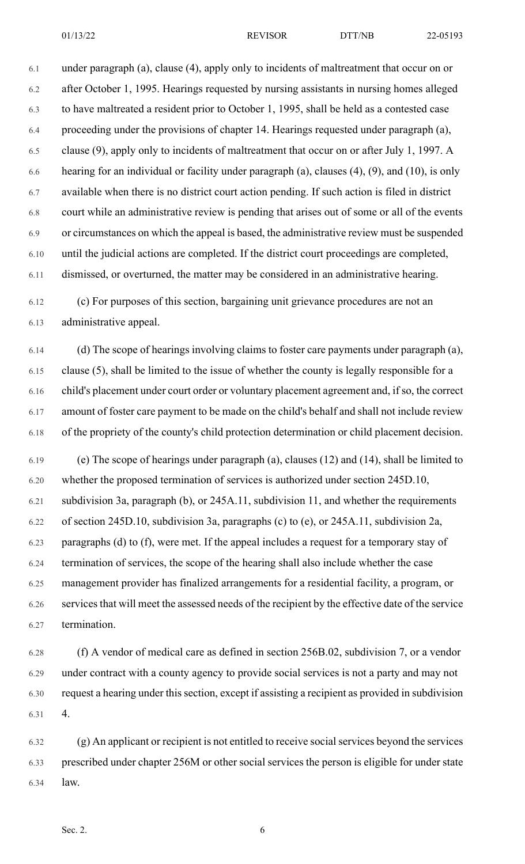01/13/22 REVISOR DTT/NB 22-05193

6.1 under paragraph (a), clause (4), apply only to incidents of maltreatment that occur on or 6.2 after October 1, 1995. Hearings requested by nursing assistants in nursing homes alleged 6.3 to have maltreated a resident prior to October 1, 1995, shall be held as a contested case 6.4 proceeding under the provisions of chapter 14. Hearings requested under paragraph (a), 6.5 clause (9), apply only to incidents of maltreatment that occur on or after July 1, 1997. A 6.6 hearing for an individual or facility under paragraph (a), clauses (4), (9), and (10), is only 6.7 available when there is no district court action pending. If such action is filed in district 6.8 court while an administrative review is pending that arises out of some or all of the events 6.9 or circumstances on which the appeal is based, the administrative review must be suspended 6.10 until the judicial actions are completed. If the district court proceedings are completed, 6.11 dismissed, or overturned, the matter may be considered in an administrative hearing.

6.12 (c) For purposes of this section, bargaining unit grievance procedures are not an 6.13 administrative appeal.

6.14 (d) The scope of hearings involving claims to foster care payments under paragraph (a), 6.15 clause (5), shall be limited to the issue of whether the county is legally responsible for a 6.16 child's placement under court order or voluntary placement agreement and, if so, the correct 6.17 amount of foster care payment to be made on the child's behalf and shall not include review 6.18 of the propriety of the county's child protection determination or child placement decision.

6.19 (e) The scope of hearings under paragraph (a), clauses (12) and (14), shall be limited to 6.20 whether the proposed termination of services is authorized under section 245D.10, 6.21 subdivision 3a, paragraph (b), or 245A.11, subdivision 11, and whether the requirements 6.22 of section 245D.10, subdivision 3a, paragraphs (c) to (e), or 245A.11, subdivision 2a, 6.23 paragraphs (d) to (f), were met. If the appeal includes a request for a temporary stay of 6.24 termination of services, the scope of the hearing shall also include whether the case 6.25 management provider has finalized arrangements for a residential facility, a program, or 6.26 services that will meet the assessed needs of the recipient by the effective date of the service 6.27 termination.

6.28 (f) A vendor of medical care as defined in section 256B.02, subdivision 7, or a vendor 6.29 under contract with a county agency to provide social services is not a party and may not 6.30 request a hearing under this section, except if assisting a recipient as provided in subdivision 6.31 4.

6.32 (g) An applicant or recipient is not entitled to receive socialservices beyond the services 6.33 prescribed under chapter 256M or other social services the person is eligible for under state 6.34 law.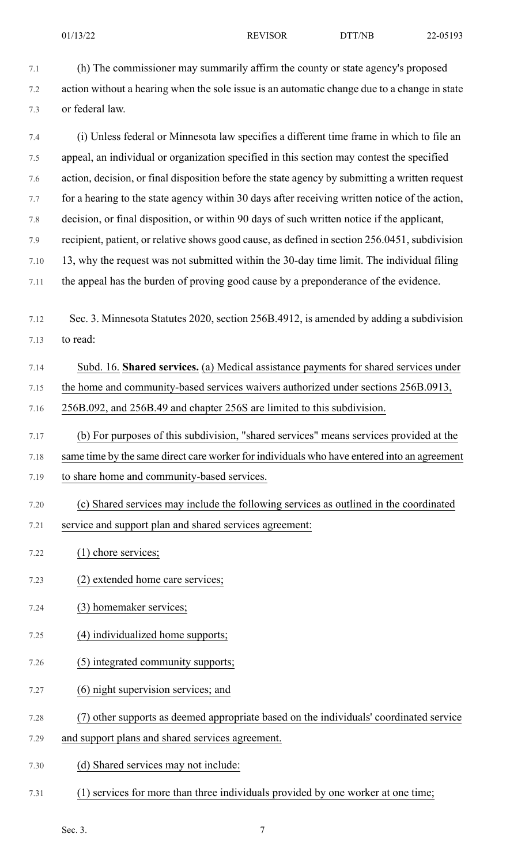7.1 (h) The commissioner may summarily affirm the county or state agency's proposed 7.2 action without a hearing when the sole issue is an automatic change due to a change in state 7.3 or federal law.

7.4 (i) Unless federal or Minnesota law specifies a different time frame in which to file an 7.5 appeal, an individual or organization specified in this section may contest the specified 7.6 action, decision, or final disposition before the state agency by submitting a written request 7.7 for a hearing to the state agency within 30 days after receiving written notice of the action, 7.8 decision, or final disposition, or within 90 days of such written notice if the applicant, 7.9 recipient, patient, or relative shows good cause, as defined in section 256.0451, subdivision 7.10 13, why the request was not submitted within the 30-day time limit. The individual filing 7.11 the appeal has the burden of proving good cause by a preponderance of the evidence.

7.12 Sec. 3. Minnesota Statutes 2020, section 256B.4912, is amended by adding a subdivision 7.13 to read:

## 7.14 Subd. 16. **Shared services.** (a) Medical assistance payments for shared services under

- 7.15 the home and community-based services waivers authorized under sections 256B.0913,
- 7.16 256B.092, and 256B.49 and chapter 256S are limited to this subdivision.
- 7.17 (b) For purposes of this subdivision, "shared services" means services provided at the

7.18 same time by the same direct care worker for individuals who have entered into an agreement

- 7.19 to share home and community-based services.
- 7.20 (c) Shared services may include the following services as outlined in the coordinated 7.21 service and support plan and shared services agreement:
- 7.22 (1) chore services;
- 7.23 (2) extended home care services;
- 7.24 (3) homemaker services;
- 7.25 (4) individualized home supports;
- 7.26 (5) integrated community supports;
- 7.27 (6) night supervision services; and
- 7.28 (7) other supports as deemed appropriate based on the individuals' coordinated service
- 7.29 and support plans and shared services agreement.
- 7.30 (d) Shared services may not include:
- 7.31 (1) services for more than three individuals provided by one worker at one time;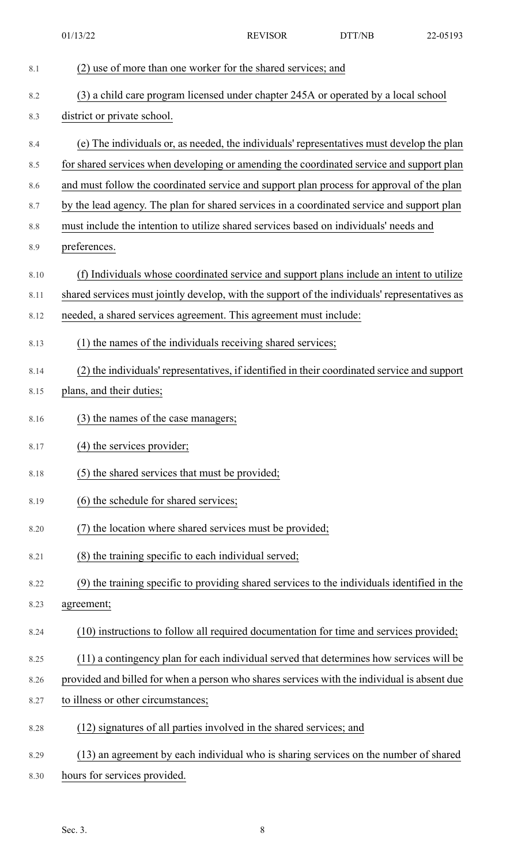|      | 01/13/22                                                                                                                                                                                | <b>REVISOR</b> | DTT/NB | 22-05193 |
|------|-----------------------------------------------------------------------------------------------------------------------------------------------------------------------------------------|----------------|--------|----------|
| 8.1  | (2) use of more than one worker for the shared services; and                                                                                                                            |                |        |          |
| 8.2  | (3) a child care program licensed under chapter 245A or operated by a local school                                                                                                      |                |        |          |
| 8.3  | district or private school.                                                                                                                                                             |                |        |          |
| 8.4  | (e) The individuals or, as needed, the individuals' representatives must develop the plan                                                                                               |                |        |          |
| 8.5  | for shared services when developing or amending the coordinated service and support plan                                                                                                |                |        |          |
| 8.6  |                                                                                                                                                                                         |                |        |          |
| 8.7  | and must follow the coordinated service and support plan process for approval of the plan<br>by the lead agency. The plan for shared services in a coordinated service and support plan |                |        |          |
| 8.8  | must include the intention to utilize shared services based on individuals' needs and                                                                                                   |                |        |          |
| 8.9  | preferences.                                                                                                                                                                            |                |        |          |
|      |                                                                                                                                                                                         |                |        |          |
| 8.10 | (f) Individuals whose coordinated service and support plans include an intent to utilize                                                                                                |                |        |          |
| 8.11 | shared services must jointly develop, with the support of the individuals' representatives as                                                                                           |                |        |          |
| 8.12 | needed, a shared services agreement. This agreement must include:                                                                                                                       |                |        |          |
| 8.13 | (1) the names of the individuals receiving shared services;                                                                                                                             |                |        |          |
| 8.14 | (2) the individuals' representatives, if identified in their coordinated service and support                                                                                            |                |        |          |
| 8.15 | plans, and their duties;                                                                                                                                                                |                |        |          |
| 8.16 | (3) the names of the case managers;                                                                                                                                                     |                |        |          |
| 8.17 | (4) the services provider;                                                                                                                                                              |                |        |          |
| 8.18 | (5) the shared services that must be provided;                                                                                                                                          |                |        |          |
| 8.19 | (6) the schedule for shared services;                                                                                                                                                   |                |        |          |
| 8.20 | (7) the location where shared services must be provided;                                                                                                                                |                |        |          |
| 8.21 | (8) the training specific to each individual served;                                                                                                                                    |                |        |          |
| 8.22 | (9) the training specific to providing shared services to the individuals identified in the                                                                                             |                |        |          |
| 8.23 | agreement;                                                                                                                                                                              |                |        |          |
| 8.24 | (10) instructions to follow all required documentation for time and services provided;                                                                                                  |                |        |          |
| 8.25 | (11) a contingency plan for each individual served that determines how services will be                                                                                                 |                |        |          |
| 8.26 | provided and billed for when a person who shares services with the individual is absent due                                                                                             |                |        |          |
| 8.27 | to illness or other circumstances;                                                                                                                                                      |                |        |          |
| 8.28 | (12) signatures of all parties involved in the shared services; and                                                                                                                     |                |        |          |
| 8.29 | (13) an agreement by each individual who is sharing services on the number of shared                                                                                                    |                |        |          |
| 8.30 | hours for services provided.                                                                                                                                                            |                |        |          |